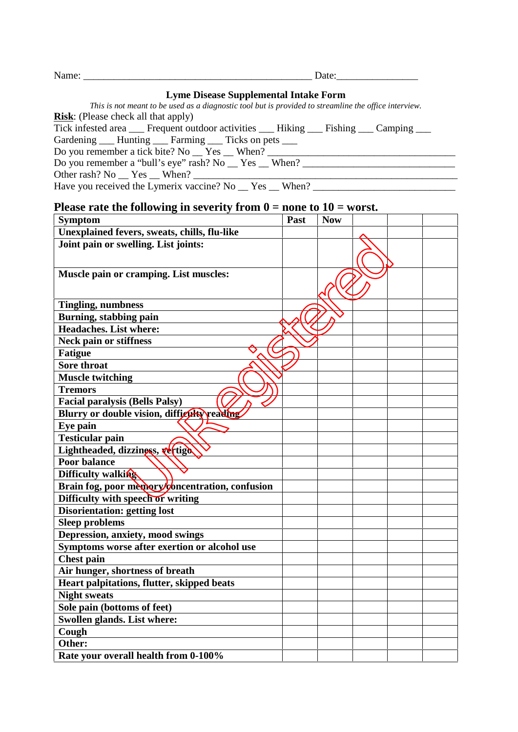| $\mathbf{v}$<br>יי<br>$\mathbf{u}$ | 71 L F<br>-- |
|------------------------------------|--------------|
|------------------------------------|--------------|

## **Lyme Disease Supplemental Intake Form**

*This is not meant to be used as a diagnostic tool but is provided to streamline the office interview.* **Risk**: (Please check all that apply)

Tick infested area  $\frac{1}{\sqrt{1 + \frac{1}{n}}}$  Frequent outdoor activities  $\frac{1}{\sqrt{1 + \frac{1}{n}}}$  Fishing  $\frac{1}{\sqrt{1 + \frac{1}{n}}}$  Camping  $\frac{1}{\sqrt{1 + \frac{1}{n}}}$ 

Gardening \_\_\_ Hunting \_\_\_ Farming \_\_\_ Ticks on pets \_\_\_

Do you remember a tick bite? No  $\Gamma$  Yes  $\Gamma$  When?  $\Gamma$ 

Do you remember a "bull's eye" rash? No \_\_ Yes \_\_ When? \_\_\_\_\_\_\_\_\_\_\_\_\_\_\_\_\_\_\_\_\_\_\_\_\_\_\_\_\_\_

Other rash? No \_\_ Yes \_\_ When? \_\_\_\_\_\_\_\_\_\_\_\_\_\_\_\_\_\_\_\_\_\_\_\_\_\_\_\_\_\_\_\_\_\_\_\_\_\_\_\_\_\_\_\_\_\_\_\_\_\_\_\_

Have you received the Lymerix vaccine? No \_\_ Yes \_\_ When? \_\_\_\_\_\_\_\_\_\_\_\_\_\_\_\_\_\_\_\_\_\_\_

## **Please rate the following in severity from 0 = none to 10 = worst.**

| <b>Symptom</b>                                  | Past | <b>Now</b> |  |  |
|-------------------------------------------------|------|------------|--|--|
| Unexplained fevers, sweats, chills, flu-like    |      |            |  |  |
| Joint pain or swelling. List joints:            |      |            |  |  |
|                                                 |      |            |  |  |
| Muscle pain or cramping. List muscles:          |      |            |  |  |
|                                                 |      |            |  |  |
|                                                 |      |            |  |  |
| <b>Tingling, numbness</b>                       |      |            |  |  |
| Burning, stabbing pain                          |      |            |  |  |
| <b>Headaches.</b> List where:                   |      |            |  |  |
| <b>Neck pain or stiffness</b>                   |      |            |  |  |
| <b>Fatigue</b>                                  |      |            |  |  |
| <b>Sore throat</b>                              |      |            |  |  |
| <b>Muscle twitching</b>                         |      |            |  |  |
| <b>Tremors</b>                                  |      |            |  |  |
| <b>Facial paralysis (Bells Palsy)</b>           |      |            |  |  |
| Blurry or double vision, diffigulty reading     |      |            |  |  |
| Eye pain                                        |      |            |  |  |
| <b>Testicular pain</b>                          |      |            |  |  |
| Lightheaded, dizziness, vertigo                 |      |            |  |  |
| <b>Poor balance</b>                             |      |            |  |  |
| Difficulty walking                              |      |            |  |  |
| Brain fog, poor memory/concentration, confusion |      |            |  |  |
| Difficulty with speech or writing               |      |            |  |  |
| <b>Disorientation: getting lost</b>             |      |            |  |  |
| <b>Sleep problems</b>                           |      |            |  |  |
| Depression, anxiety, mood swings                |      |            |  |  |
| Symptoms worse after exertion or alcohol use    |      |            |  |  |
| <b>Chest pain</b>                               |      |            |  |  |
| Air hunger, shortness of breath                 |      |            |  |  |
| Heart palpitations, flutter, skipped beats      |      |            |  |  |
| <b>Night sweats</b>                             |      |            |  |  |
| Sole pain (bottoms of feet)                     |      |            |  |  |
| Swollen glands. List where:                     |      |            |  |  |
| Cough                                           |      |            |  |  |
| Other:                                          |      |            |  |  |
| Rate your overall health from 0-100%            |      |            |  |  |